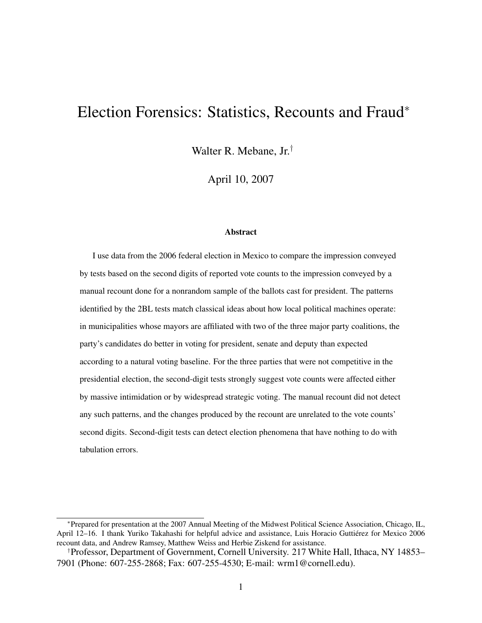# Election Forensics: Statistics, Recounts and Fraud<sup>∗</sup>

Walter R. Mebane, Jr.†

April 10, 2007

#### Abstract

I use data from the 2006 federal election in Mexico to compare the impression conveyed by tests based on the second digits of reported vote counts to the impression conveyed by a manual recount done for a nonrandom sample of the ballots cast for president. The patterns identified by the 2BL tests match classical ideas about how local political machines operate: in municipalities whose mayors are affiliated with two of the three major party coalitions, the party's candidates do better in voting for president, senate and deputy than expected according to a natural voting baseline. For the three parties that were not competitive in the presidential election, the second-digit tests strongly suggest vote counts were affected either by massive intimidation or by widespread strategic voting. The manual recount did not detect any such patterns, and the changes produced by the recount are unrelated to the vote counts' second digits. Second-digit tests can detect election phenomena that have nothing to do with tabulation errors.

<sup>∗</sup>Prepared for presentation at the 2007 Annual Meeting of the Midwest Political Science Association, Chicago, IL, April 12–16. I thank Yuriko Takahashi for helpful advice and assistance, Luis Horacio Guttierez for Mexico 2006 ´ recount data, and Andrew Ramsey, Matthew Weiss and Herbie Ziskend for assistance.

<sup>†</sup>Professor, Department of Government, Cornell University. 217 White Hall, Ithaca, NY 14853– 7901 (Phone: 607-255-2868; Fax: 607-255-4530; E-mail: wrm1@cornell.edu).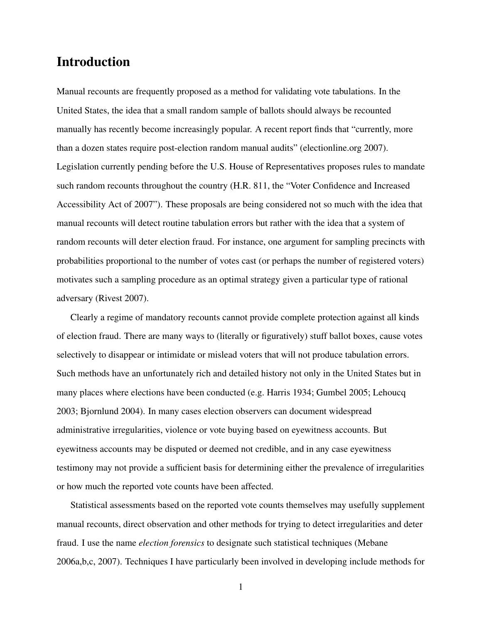## Introduction

Manual recounts are frequently proposed as a method for validating vote tabulations. In the United States, the idea that a small random sample of ballots should always be recounted manually has recently become increasingly popular. A recent report finds that "currently, more than a dozen states require post-election random manual audits" (electionline.org 2007). Legislation currently pending before the U.S. House of Representatives proposes rules to mandate such random recounts throughout the country (H.R. 811, the "Voter Confidence and Increased Accessibility Act of 2007"). These proposals are being considered not so much with the idea that manual recounts will detect routine tabulation errors but rather with the idea that a system of random recounts will deter election fraud. For instance, one argument for sampling precincts with probabilities proportional to the number of votes cast (or perhaps the number of registered voters) motivates such a sampling procedure as an optimal strategy given a particular type of rational adversary (Rivest 2007).

Clearly a regime of mandatory recounts cannot provide complete protection against all kinds of election fraud. There are many ways to (literally or figuratively) stuff ballot boxes, cause votes selectively to disappear or intimidate or mislead voters that will not produce tabulation errors. Such methods have an unfortunately rich and detailed history not only in the United States but in many places where elections have been conducted (e.g. Harris 1934; Gumbel 2005; Lehoucq 2003; Bjornlund 2004). In many cases election observers can document widespread administrative irregularities, violence or vote buying based on eyewitness accounts. But eyewitness accounts may be disputed or deemed not credible, and in any case eyewitness testimony may not provide a sufficient basis for determining either the prevalence of irregularities or how much the reported vote counts have been affected.

Statistical assessments based on the reported vote counts themselves may usefully supplement manual recounts, direct observation and other methods for trying to detect irregularities and deter fraud. I use the name *election forensics* to designate such statistical techniques (Mebane 2006a,b,c, 2007). Techniques I have particularly been involved in developing include methods for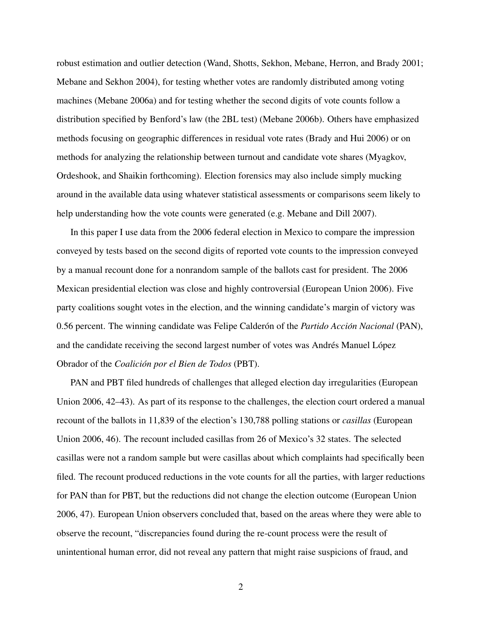robust estimation and outlier detection (Wand, Shotts, Sekhon, Mebane, Herron, and Brady 2001; Mebane and Sekhon 2004), for testing whether votes are randomly distributed among voting machines (Mebane 2006a) and for testing whether the second digits of vote counts follow a distribution specified by Benford's law (the 2BL test) (Mebane 2006b). Others have emphasized methods focusing on geographic differences in residual vote rates (Brady and Hui 2006) or on methods for analyzing the relationship between turnout and candidate vote shares (Myagkov, Ordeshook, and Shaikin forthcoming). Election forensics may also include simply mucking around in the available data using whatever statistical assessments or comparisons seem likely to help understanding how the vote counts were generated (e.g. Mebane and Dill 2007).

In this paper I use data from the 2006 federal election in Mexico to compare the impression conveyed by tests based on the second digits of reported vote counts to the impression conveyed by a manual recount done for a nonrandom sample of the ballots cast for president. The 2006 Mexican presidential election was close and highly controversial (European Union 2006). Five party coalitions sought votes in the election, and the winning candidate's margin of victory was 0.56 percent. The winning candidate was Felipe Calderón of the *Partido Acción Nacional* (PAN), and the candidate receiving the second largest number of votes was Andrés Manuel López Obrador of the *Coalicion por el Bien de Todos ´* (PBT).

PAN and PBT filed hundreds of challenges that alleged election day irregularities (European Union 2006, 42–43). As part of its response to the challenges, the election court ordered a manual recount of the ballots in 11,839 of the election's 130,788 polling stations or *casillas* (European Union 2006, 46). The recount included casillas from 26 of Mexico's 32 states. The selected casillas were not a random sample but were casillas about which complaints had specifically been filed. The recount produced reductions in the vote counts for all the parties, with larger reductions for PAN than for PBT, but the reductions did not change the election outcome (European Union 2006, 47). European Union observers concluded that, based on the areas where they were able to observe the recount, "discrepancies found during the re-count process were the result of unintentional human error, did not reveal any pattern that might raise suspicions of fraud, and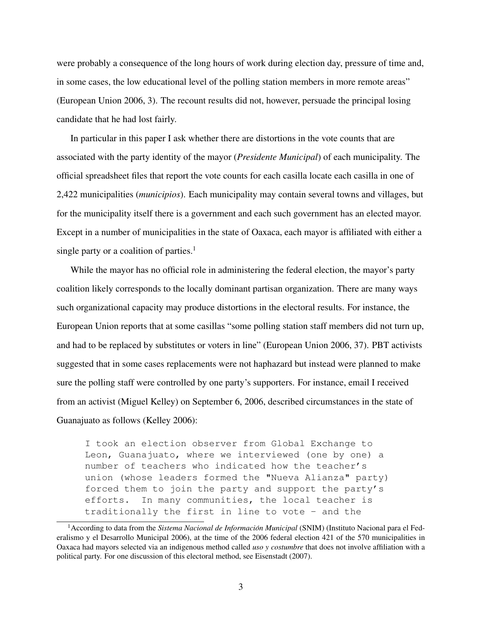were probably a consequence of the long hours of work during election day, pressure of time and, in some cases, the low educational level of the polling station members in more remote areas" (European Union 2006, 3). The recount results did not, however, persuade the principal losing candidate that he had lost fairly.

In particular in this paper I ask whether there are distortions in the vote counts that are associated with the party identity of the mayor (*Presidente Municipal*) of each municipality. The official spreadsheet files that report the vote counts for each casilla locate each casilla in one of 2,422 municipalities (*municipios*). Each municipality may contain several towns and villages, but for the municipality itself there is a government and each such government has an elected mayor. Except in a number of municipalities in the state of Oaxaca, each mayor is affiliated with either a single party or a coalition of parties.<sup>1</sup>

While the mayor has no official role in administering the federal election, the mayor's party coalition likely corresponds to the locally dominant partisan organization. There are many ways such organizational capacity may produce distortions in the electoral results. For instance, the European Union reports that at some casillas "some polling station staff members did not turn up, and had to be replaced by substitutes or voters in line" (European Union 2006, 37). PBT activists suggested that in some cases replacements were not haphazard but instead were planned to make sure the polling staff were controlled by one party's supporters. For instance, email I received from an activist (Miguel Kelley) on September 6, 2006, described circumstances in the state of Guanajuato as follows (Kelley 2006):

I took an election observer from Global Exchange to Leon, Guanajuato, where we interviewed (one by one) a number of teachers who indicated how the teacher's union (whose leaders formed the "Nueva Alianza" party) forced them to join the party and support the party's efforts. In many communities, the local teacher is traditionally the first in line to vote - and the

<sup>&</sup>lt;sup>1</sup> According to data from the *Sistema Nacional de Información Municipal* (SNIM) (Instituto Nacional para el Federalismo y el Desarrollo Municipal 2006), at the time of the 2006 federal election 421 of the 570 municipalities in Oaxaca had mayors selected via an indigenous method called *uso y costumbre* that does not involve affiliation with a political party. For one discussion of this electoral method, see Eisenstadt (2007).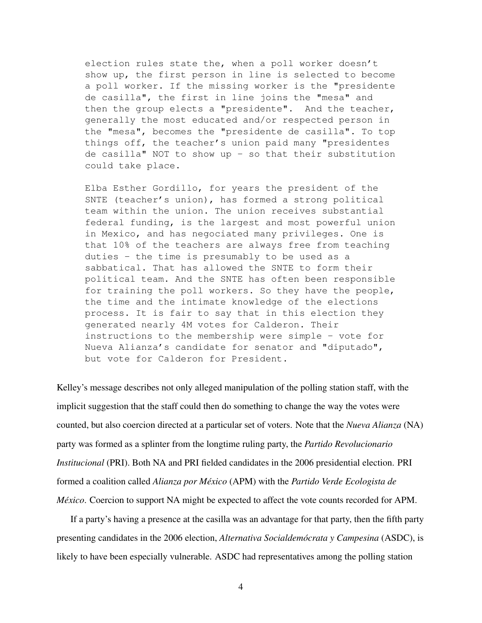election rules state the, when a poll worker doesn't show up, the first person in line is selected to become a poll worker. If the missing worker is the "presidente de casilla", the first in line joins the "mesa" and then the group elects a "presidente". And the teacher, generally the most educated and/or respected person in the "mesa", becomes the "presidente de casilla". To top things off, the teacher's union paid many "presidentes de casilla" NOT to show up - so that their substitution could take place.

Elba Esther Gordillo, for years the president of the SNTE (teacher's union), has formed a strong political team within the union. The union receives substantial federal funding, is the largest and most powerful union in Mexico, and has negociated many privileges. One is that 10% of the teachers are always free from teaching duties - the time is presumably to be used as a sabbatical. That has allowed the SNTE to form their political team. And the SNTE has often been responsible for training the poll workers. So they have the people, the time and the intimate knowledge of the elections process. It is fair to say that in this election they generated nearly 4M votes for Calderon. Their instructions to the membership were simple - vote for Nueva Alianza's candidate for senator and "diputado", but vote for Calderon for President.

Kelley's message describes not only alleged manipulation of the polling station staff, with the implicit suggestion that the staff could then do something to change the way the votes were counted, but also coercion directed at a particular set of voters. Note that the *Nueva Alianza* (NA) party was formed as a splinter from the longtime ruling party, the *Partido Revolucionario Institucional* (PRI). Both NA and PRI fielded candidates in the 2006 presidential election. PRI formed a coalition called *Alianza por Mexico ´* (APM) with the *Partido Verde Ecologista de México*. Coercion to support NA might be expected to affect the vote counts recorded for APM.

If a party's having a presence at the casilla was an advantage for that party, then the fifth party presenting candidates in the 2006 election, *Alternativa Socialdemócrata y Campesina* (ASDC), is likely to have been especially vulnerable. ASDC had representatives among the polling station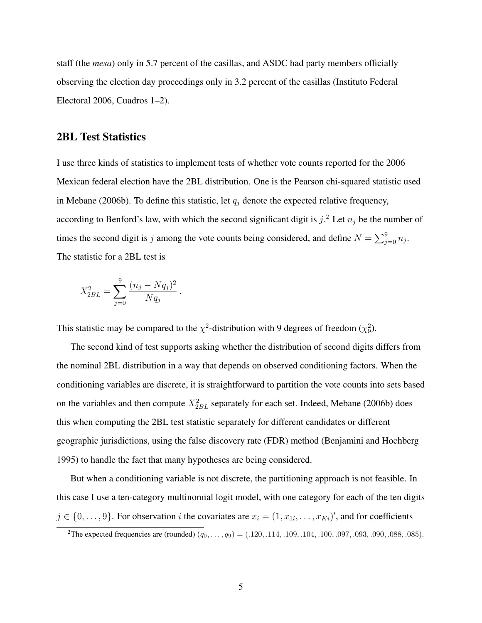staff (the *mesa*) only in 5.7 percent of the casillas, and ASDC had party members officially observing the election day proceedings only in 3.2 percent of the casillas (Instituto Federal Electoral 2006, Cuadros 1–2).

### 2BL Test Statistics

I use three kinds of statistics to implement tests of whether vote counts reported for the 2006 Mexican federal election have the 2BL distribution. One is the Pearson chi-squared statistic used in Mebane (2006b). To define this statistic, let  $q_j$  denote the expected relative frequency, according to Benford's law, with which the second significant digit is  $j^2$ . Let  $n_j$  be the number of times the second digit is j among the vote counts being considered, and define  $N = \sum_{j=0}^{9} n_j$ . The statistic for a 2BL test is

$$
X_{2BL}^2 = \sum_{j=0}^{9} \frac{(n_j - Nq_j)^2}{Nq_j}.
$$

This statistic may be compared to the  $\chi^2$ -distribution with 9 degrees of freedom ( $\chi^2$ ).

The second kind of test supports asking whether the distribution of second digits differs from the nominal 2BL distribution in a way that depends on observed conditioning factors. When the conditioning variables are discrete, it is straightforward to partition the vote counts into sets based on the variables and then compute  $X_{2BL}^2$  separately for each set. Indeed, Mebane (2006b) does this when computing the 2BL test statistic separately for different candidates or different geographic jurisdictions, using the false discovery rate (FDR) method (Benjamini and Hochberg 1995) to handle the fact that many hypotheses are being considered.

But when a conditioning variable is not discrete, the partitioning approach is not feasible. In this case I use a ten-category multinomial logit model, with one category for each of the ten digits  $j \in \{0, \ldots, 9\}$ . For observation i the covariates are  $x_i = (1, x_{1i}, \ldots, x_{Ki})'$ , and for coefficients

<sup>&</sup>lt;sup>2</sup>The expected frequencies are (rounded)  $(q_0, \ldots, q_9) = (.120, .114, .109, .104, .100, .097, .093, .090, .088, .085)$ .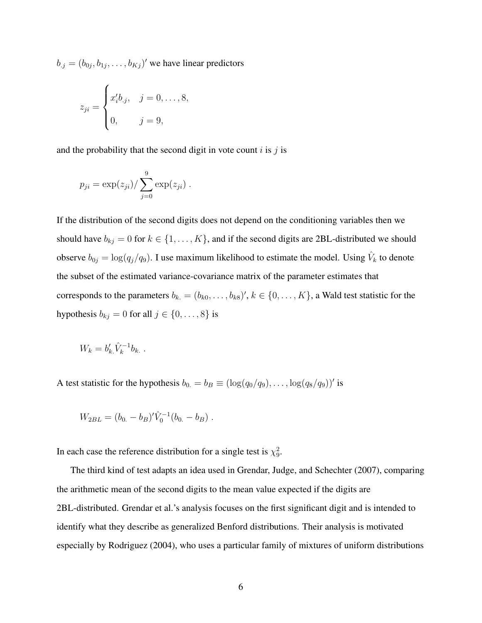$b_{.j} = (b_{0j}, b_{1j}, \dots, b_{Kj})'$  we have linear predictors

$$
z_{ji} = \begin{cases} x_i' b_{.j}, & j = 0, ..., 8, \\ 0, & j = 9, \end{cases}
$$

and the probability that the second digit in vote count  $i$  is  $j$  is

$$
p_{ji} = \exp(z_{ji}) / \sum_{j=0}^{9} \exp(z_{ji}).
$$

If the distribution of the second digits does not depend on the conditioning variables then we should have  $b_{kj} = 0$  for  $k \in \{1, ..., K\}$ , and if the second digits are 2BL-distributed we should observe  $b_{0j} = \log(q_j/q_9)$ . I use maximum likelihood to estimate the model. Using  $\hat{V}_k$  to denote the subset of the estimated variance-covariance matrix of the parameter estimates that corresponds to the parameters  $b_k = (b_{k0}, \ldots, b_{k8})'$ ,  $k \in \{0, \ldots, K\}$ , a Wald test statistic for the hypothesis  $b_{kj} = 0$  for all  $j \in \{0, \ldots, 8\}$  is

$$
W_k = b'_k \hat{V}_k^{-1} b_k.
$$

A test statistic for the hypothesis  $b_0 = b_B \equiv (\log(q_0/q_9), \dots, \log(q_8/q_9))'$  is

$$
W_{2BL} = (b_0 - b_B)'\hat{V}_0^{-1}(b_0 - b_B) .
$$

In each case the reference distribution for a single test is  $\chi^2$ .

The third kind of test adapts an idea used in Grendar, Judge, and Schechter (2007), comparing the arithmetic mean of the second digits to the mean value expected if the digits are 2BL-distributed. Grendar et al.'s analysis focuses on the first significant digit and is intended to identify what they describe as generalized Benford distributions. Their analysis is motivated especially by Rodriguez (2004), who uses a particular family of mixtures of uniform distributions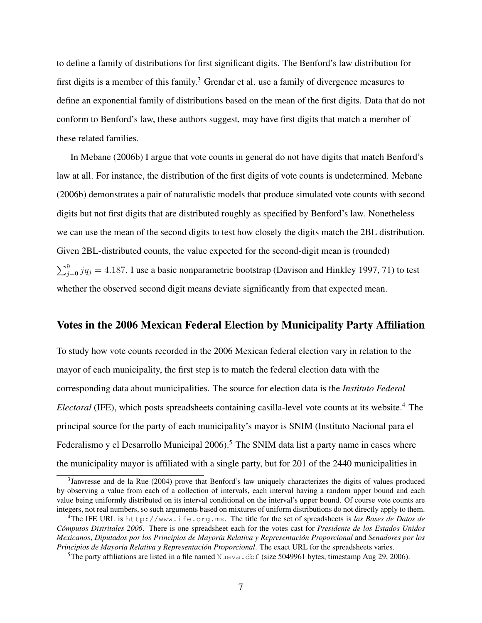to define a family of distributions for first significant digits. The Benford's law distribution for first digits is a member of this family.<sup>3</sup> Grendar et al. use a family of divergence measures to define an exponential family of distributions based on the mean of the first digits. Data that do not conform to Benford's law, these authors suggest, may have first digits that match a member of these related families.

In Mebane (2006b) I argue that vote counts in general do not have digits that match Benford's law at all. For instance, the distribution of the first digits of vote counts is undetermined. Mebane (2006b) demonstrates a pair of naturalistic models that produce simulated vote counts with second digits but not first digits that are distributed roughly as specified by Benford's law. Nonetheless we can use the mean of the second digits to test how closely the digits match the 2BL distribution. Given 2BL-distributed counts, the value expected for the second-digit mean is (rounded)  $\sum_{j=0}^{9} jq_j = 4.187$ . I use a basic nonparametric bootstrap (Davison and Hinkley 1997, 71) to test whether the observed second digit means deviate significantly from that expected mean.

## Votes in the 2006 Mexican Federal Election by Municipality Party Affiliation

To study how vote counts recorded in the 2006 Mexican federal election vary in relation to the mayor of each municipality, the first step is to match the federal election data with the corresponding data about municipalities. The source for election data is the *Instituto Federal Electoral* (IFE), which posts spreadsheets containing casilla-level vote counts at its website.<sup>4</sup> The principal source for the party of each municipality's mayor is SNIM (Instituto Nacional para el Federalismo y el Desarrollo Municipal  $2006$ <sup>5</sup>. The SNIM data list a party name in cases where the municipality mayor is affiliated with a single party, but for 201 of the 2440 municipalities in

<sup>&</sup>lt;sup>3</sup>Janvresse and de la Rue (2004) prove that Benford's law uniquely characterizes the digits of values produced by observing a value from each of a collection of intervals, each interval having a random upper bound and each value being uniformly distributed on its interval conditional on the interval's upper bound. Of course vote counts are integers, not real numbers, so such arguments based on mixtures of uniform distributions do not directly apply to them.

<sup>4</sup>The IFE URL is http://www.ife.org.mx. The title for the set of spreadsheets is *las Bases de Datos de Computos Distritales 2006 ´* . There is one spreadsheet each for the votes cast for *Presidente de los Estados Unidos Mexicanos*, *Diputados por los Principios de Mayor´ıa Relativa y Representacion Proporcional ´* and *Senadores por los Principios de Mayoría Relativa y Representación Proporcional.* The exact URL for the spreadsheets varies.

<sup>&</sup>lt;sup>5</sup>The party affiliations are listed in a file named Nueva.dbf (size 5049961 bytes, timestamp Aug 29, 2006).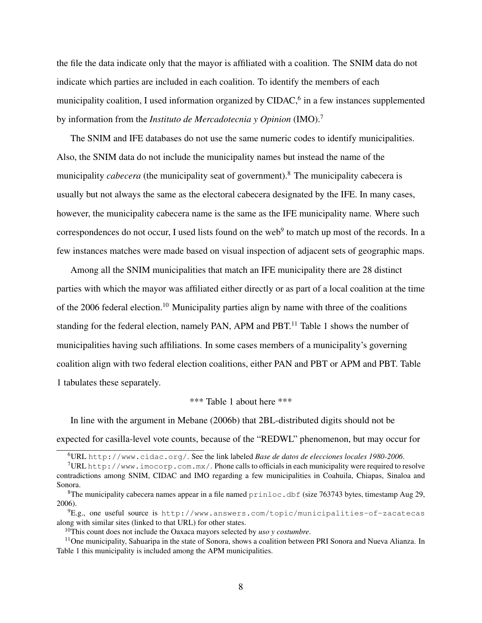the file the data indicate only that the mayor is affiliated with a coalition. The SNIM data do not indicate which parties are included in each coalition. To identify the members of each municipality coalition, I used information organized by CIDAC,<sup>6</sup> in a few instances supplemented by information from the *Instituto de Mercadotecnia y Opinion* (IMO).<sup>7</sup>

The SNIM and IFE databases do not use the same numeric codes to identify municipalities. Also, the SNIM data do not include the municipality names but instead the name of the municipality *cabecera* (the municipality seat of government).<sup>8</sup> The municipality cabecera is usually but not always the same as the electoral cabecera designated by the IFE. In many cases, however, the municipality cabecera name is the same as the IFE municipality name. Where such correspondences do not occur, I used lists found on the web<sup>9</sup> to match up most of the records. In a few instances matches were made based on visual inspection of adjacent sets of geographic maps.

Among all the SNIM municipalities that match an IFE municipality there are 28 distinct parties with which the mayor was affiliated either directly or as part of a local coalition at the time of the 2006 federal election.<sup>10</sup> Municipality parties align by name with three of the coalitions standing for the federal election, namely PAN, APM and PBT.<sup>11</sup> Table 1 shows the number of municipalities having such affiliations. In some cases members of a municipality's governing coalition align with two federal election coalitions, either PAN and PBT or APM and PBT. Table 1 tabulates these separately.

\*\*\* Table 1 about here \*\*\*

In line with the argument in Mebane (2006b) that 2BL-distributed digits should not be expected for casilla-level vote counts, because of the "REDWL" phenomenon, but may occur for

<sup>6</sup>URL http://www.cidac.org/. See the link labeled *Base de datos de elecciones locales 1980-2006*.

 $7$ URL http://www.imocorp.com.mx/. Phone calls to officials in each municipality were required to resolve contradictions among SNIM, CIDAC and IMO regarding a few municipalities in Coahuila, Chiapas, Sinaloa and Sonora.

<sup>&</sup>lt;sup>8</sup>The municipality cabecera names appear in a file named  $\text{prinloc}.$  dbf (size 763743 bytes, timestamp Aug 29, 2006).

<sup>9</sup>E.g., one useful source is http://www.answers.com/topic/municipalities-of-zacatecas along with similar sites (linked to that URL) for other states.

<sup>10</sup>This count does not include the Oaxaca mayors selected by *uso y costumbre*.

<sup>&</sup>lt;sup>11</sup>One municipality, Sahuaripa in the state of Sonora, shows a coalition between PRI Sonora and Nueva Alianza. In Table 1 this municipality is included among the APM municipalities.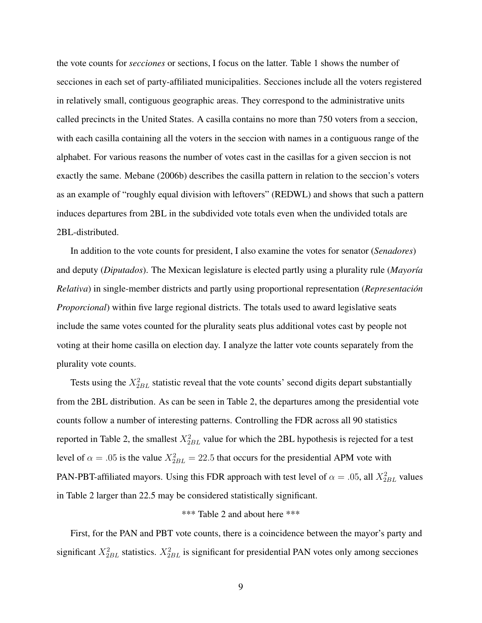the vote counts for *secciones* or sections, I focus on the latter. Table 1 shows the number of secciones in each set of party-affiliated municipalities. Secciones include all the voters registered in relatively small, contiguous geographic areas. They correspond to the administrative units called precincts in the United States. A casilla contains no more than 750 voters from a seccion, with each casilla containing all the voters in the seccion with names in a contiguous range of the alphabet. For various reasons the number of votes cast in the casillas for a given seccion is not exactly the same. Mebane (2006b) describes the casilla pattern in relation to the seccion's voters as an example of "roughly equal division with leftovers" (REDWL) and shows that such a pattern induces departures from 2BL in the subdivided vote totals even when the undivided totals are 2BL-distributed.

In addition to the vote counts for president, I also examine the votes for senator (*Senadores*) and deputy (*Diputados*). The Mexican legislature is elected partly using a plurality rule (*Mayor´ıa Relativa*) in single-member districts and partly using proportional representation (*Representacion´ Proporcional*) within five large regional districts. The totals used to award legislative seats include the same votes counted for the plurality seats plus additional votes cast by people not voting at their home casilla on election day. I analyze the latter vote counts separately from the plurality vote counts.

Tests using the  $X_{2BL}^2$  statistic reveal that the vote counts' second digits depart substantially from the 2BL distribution. As can be seen in Table 2, the departures among the presidential vote counts follow a number of interesting patterns. Controlling the FDR across all 90 statistics reported in Table 2, the smallest  $X_{2BL}^2$  value for which the 2BL hypothesis is rejected for a test level of  $\alpha = .05$  is the value  $X_{2BL}^2 = 22.5$  that occurs for the presidential APM vote with PAN-PBT-affiliated mayors. Using this FDR approach with test level of  $\alpha = .05$ , all  $X_{2BL}^2$  values in Table 2 larger than 22.5 may be considered statistically significant.

#### \*\*\* Table 2 and about here \*\*\*

First, for the PAN and PBT vote counts, there is a coincidence between the mayor's party and significant  $X_{2BL}^2$  statistics.  $X_{2BL}^2$  is significant for presidential PAN votes only among secciones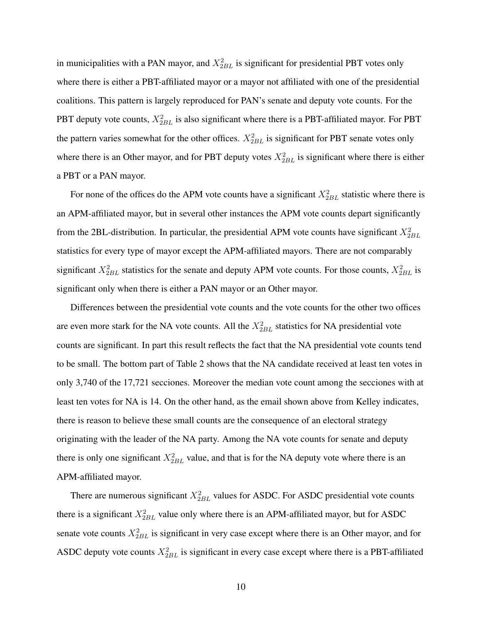in municipalities with a PAN mayor, and  $X_{2BL}^2$  is significant for presidential PBT votes only where there is either a PBT-affiliated mayor or a mayor not affiliated with one of the presidential coalitions. This pattern is largely reproduced for PAN's senate and deputy vote counts. For the PBT deputy vote counts,  $X_{2BL}^2$  is also significant where there is a PBT-affiliated mayor. For PBT the pattern varies somewhat for the other offices.  $X_{2BL}^2$  is significant for PBT senate votes only where there is an Other mayor, and for PBT deputy votes  $X_{2BL}^2$  is significant where there is either a PBT or a PAN mayor.

For none of the offices do the APM vote counts have a significant  $X_{2BL}^2$  statistic where there is an APM-affiliated mayor, but in several other instances the APM vote counts depart significantly from the 2BL-distribution. In particular, the presidential APM vote counts have significant  $X_{2BL}^2$ statistics for every type of mayor except the APM-affiliated mayors. There are not comparably significant  $X_{2BL}^2$  statistics for the senate and deputy APM vote counts. For those counts,  $X_{2BL}^2$  is significant only when there is either a PAN mayor or an Other mayor.

Differences between the presidential vote counts and the vote counts for the other two offices are even more stark for the NA vote counts. All the  $X_{2BL}^2$  statistics for NA presidential vote counts are significant. In part this result reflects the fact that the NA presidential vote counts tend to be small. The bottom part of Table 2 shows that the NA candidate received at least ten votes in only 3,740 of the 17,721 secciones. Moreover the median vote count among the secciones with at least ten votes for NA is 14. On the other hand, as the email shown above from Kelley indicates, there is reason to believe these small counts are the consequence of an electoral strategy originating with the leader of the NA party. Among the NA vote counts for senate and deputy there is only one significant  $X_{2BL}^2$  value, and that is for the NA deputy vote where there is an APM-affiliated mayor.

There are numerous significant  $X_{2BL}^2$  values for ASDC. For ASDC presidential vote counts there is a significant  $X_{2BL}^2$  value only where there is an APM-affiliated mayor, but for ASDC senate vote counts  $X_{2BL}^2$  is significant in very case except where there is an Other mayor, and for ASDC deputy vote counts  $X_{2BL}^2$  is significant in every case except where there is a PBT-affiliated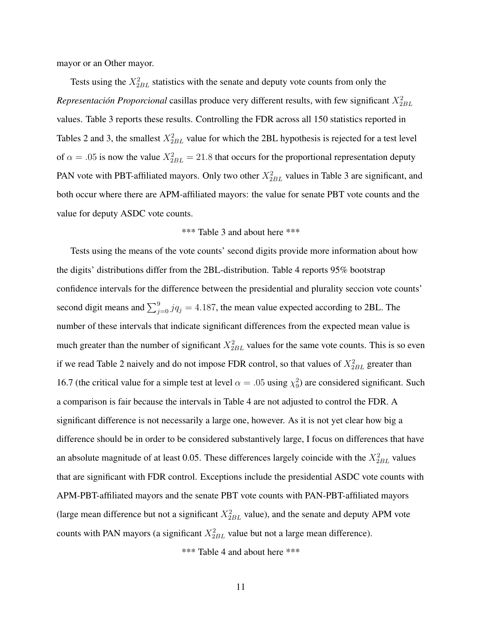mayor or an Other mayor.

Tests using the  $X_{2BL}^2$  statistics with the senate and deputy vote counts from only the *Representación Proporcional* casillas produce very different results, with few significant  $X_{2BL}^2$ values. Table 3 reports these results. Controlling the FDR across all 150 statistics reported in Tables 2 and 3, the smallest  $X_{2BL}^2$  value for which the 2BL hypothesis is rejected for a test level of  $\alpha = .05$  is now the value  $X_{2BL}^2 = 21.8$  that occurs for the proportional representation deputy PAN vote with PBT-affiliated mayors. Only two other  $X_{2BL}^2$  values in Table 3 are significant, and both occur where there are APM-affiliated mayors: the value for senate PBT vote counts and the value for deputy ASDC vote counts.

#### \*\*\* Table 3 and about here \*\*\*

Tests using the means of the vote counts' second digits provide more information about how the digits' distributions differ from the 2BL-distribution. Table 4 reports 95% bootstrap confidence intervals for the difference between the presidential and plurality seccion vote counts' second digit means and  $\sum_{j=0}^{9} jq_j = 4.187$ , the mean value expected according to 2BL. The number of these intervals that indicate significant differences from the expected mean value is much greater than the number of significant  $X_{2BL}^2$  values for the same vote counts. This is so even if we read Table 2 naively and do not impose FDR control, so that values of  $X_{2BL}^2$  greater than 16.7 (the critical value for a simple test at level  $\alpha = .05$  using  $\chi_9^2$ ) are considered significant. Such a comparison is fair because the intervals in Table 4 are not adjusted to control the FDR. A significant difference is not necessarily a large one, however. As it is not yet clear how big a difference should be in order to be considered substantively large, I focus on differences that have an absolute magnitude of at least 0.05. These differences largely coincide with the  $X_{2BL}^2$  values that are significant with FDR control. Exceptions include the presidential ASDC vote counts with APM-PBT-affiliated mayors and the senate PBT vote counts with PAN-PBT-affiliated mayors (large mean difference but not a significant  $X_{2BL}^2$  value), and the senate and deputy APM vote counts with PAN mayors (a significant  $X_{2BL}^2$  value but not a large mean difference).

\*\*\* Table 4 and about here \*\*\*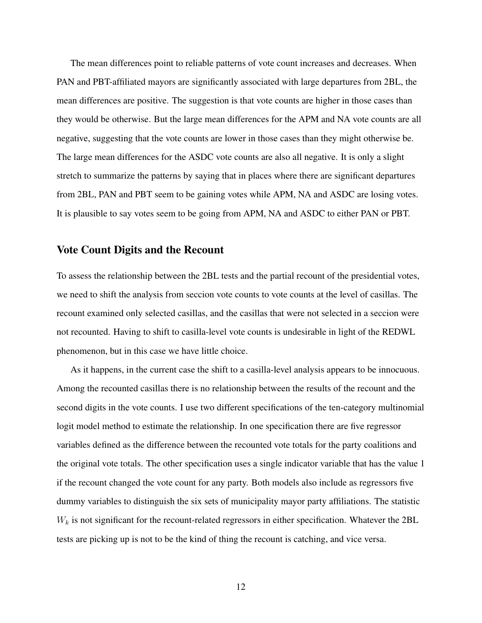The mean differences point to reliable patterns of vote count increases and decreases. When PAN and PBT-affiliated mayors are significantly associated with large departures from 2BL, the mean differences are positive. The suggestion is that vote counts are higher in those cases than they would be otherwise. But the large mean differences for the APM and NA vote counts are all negative, suggesting that the vote counts are lower in those cases than they might otherwise be. The large mean differences for the ASDC vote counts are also all negative. It is only a slight stretch to summarize the patterns by saying that in places where there are significant departures from 2BL, PAN and PBT seem to be gaining votes while APM, NA and ASDC are losing votes. It is plausible to say votes seem to be going from APM, NA and ASDC to either PAN or PBT.

### Vote Count Digits and the Recount

To assess the relationship between the 2BL tests and the partial recount of the presidential votes, we need to shift the analysis from seccion vote counts to vote counts at the level of casillas. The recount examined only selected casillas, and the casillas that were not selected in a seccion were not recounted. Having to shift to casilla-level vote counts is undesirable in light of the REDWL phenomenon, but in this case we have little choice.

As it happens, in the current case the shift to a casilla-level analysis appears to be innocuous. Among the recounted casillas there is no relationship between the results of the recount and the second digits in the vote counts. I use two different specifications of the ten-category multinomial logit model method to estimate the relationship. In one specification there are five regressor variables defined as the difference between the recounted vote totals for the party coalitions and the original vote totals. The other specification uses a single indicator variable that has the value 1 if the recount changed the vote count for any party. Both models also include as regressors five dummy variables to distinguish the six sets of municipality mayor party affiliations. The statistic  $W_k$  is not significant for the recount-related regressors in either specification. Whatever the 2BL tests are picking up is not to be the kind of thing the recount is catching, and vice versa.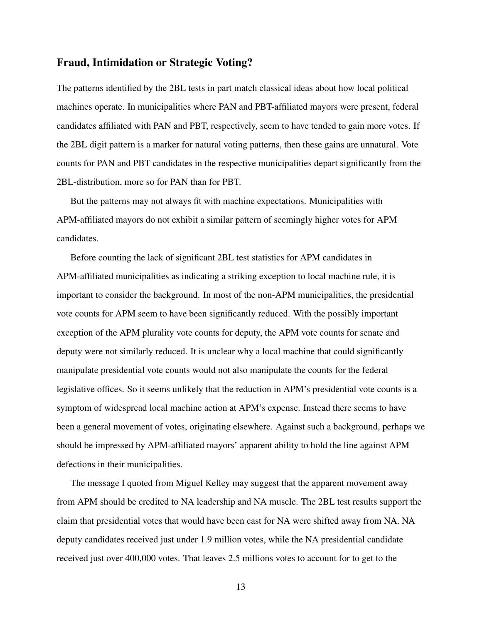## Fraud, Intimidation or Strategic Voting?

The patterns identified by the 2BL tests in part match classical ideas about how local political machines operate. In municipalities where PAN and PBT-affiliated mayors were present, federal candidates affiliated with PAN and PBT, respectively, seem to have tended to gain more votes. If the 2BL digit pattern is a marker for natural voting patterns, then these gains are unnatural. Vote counts for PAN and PBT candidates in the respective municipalities depart significantly from the 2BL-distribution, more so for PAN than for PBT.

But the patterns may not always fit with machine expectations. Municipalities with APM-affiliated mayors do not exhibit a similar pattern of seemingly higher votes for APM candidates.

Before counting the lack of significant 2BL test statistics for APM candidates in APM-affiliated municipalities as indicating a striking exception to local machine rule, it is important to consider the background. In most of the non-APM municipalities, the presidential vote counts for APM seem to have been significantly reduced. With the possibly important exception of the APM plurality vote counts for deputy, the APM vote counts for senate and deputy were not similarly reduced. It is unclear why a local machine that could significantly manipulate presidential vote counts would not also manipulate the counts for the federal legislative offices. So it seems unlikely that the reduction in APM's presidential vote counts is a symptom of widespread local machine action at APM's expense. Instead there seems to have been a general movement of votes, originating elsewhere. Against such a background, perhaps we should be impressed by APM-affiliated mayors' apparent ability to hold the line against APM defections in their municipalities.

The message I quoted from Miguel Kelley may suggest that the apparent movement away from APM should be credited to NA leadership and NA muscle. The 2BL test results support the claim that presidential votes that would have been cast for NA were shifted away from NA. NA deputy candidates received just under 1.9 million votes, while the NA presidential candidate received just over 400,000 votes. That leaves 2.5 millions votes to account for to get to the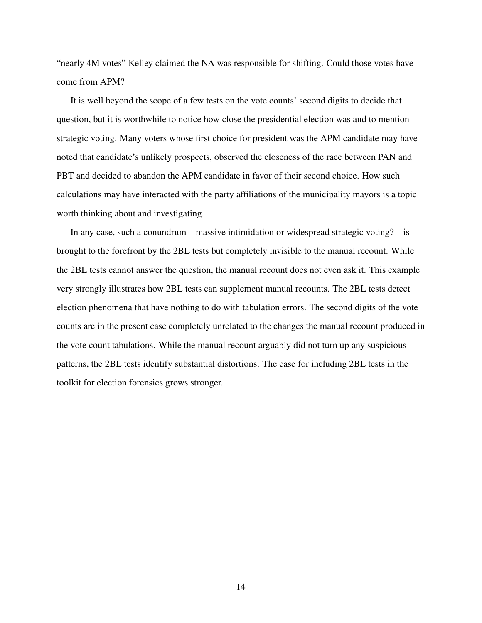"nearly 4M votes" Kelley claimed the NA was responsible for shifting. Could those votes have come from APM?

It is well beyond the scope of a few tests on the vote counts' second digits to decide that question, but it is worthwhile to notice how close the presidential election was and to mention strategic voting. Many voters whose first choice for president was the APM candidate may have noted that candidate's unlikely prospects, observed the closeness of the race between PAN and PBT and decided to abandon the APM candidate in favor of their second choice. How such calculations may have interacted with the party affiliations of the municipality mayors is a topic worth thinking about and investigating.

In any case, such a conundrum—massive intimidation or widespread strategic voting?—is brought to the forefront by the 2BL tests but completely invisible to the manual recount. While the 2BL tests cannot answer the question, the manual recount does not even ask it. This example very strongly illustrates how 2BL tests can supplement manual recounts. The 2BL tests detect election phenomena that have nothing to do with tabulation errors. The second digits of the vote counts are in the present case completely unrelated to the changes the manual recount produced in the vote count tabulations. While the manual recount arguably did not turn up any suspicious patterns, the 2BL tests identify substantial distortions. The case for including 2BL tests in the toolkit for election forensics grows stronger.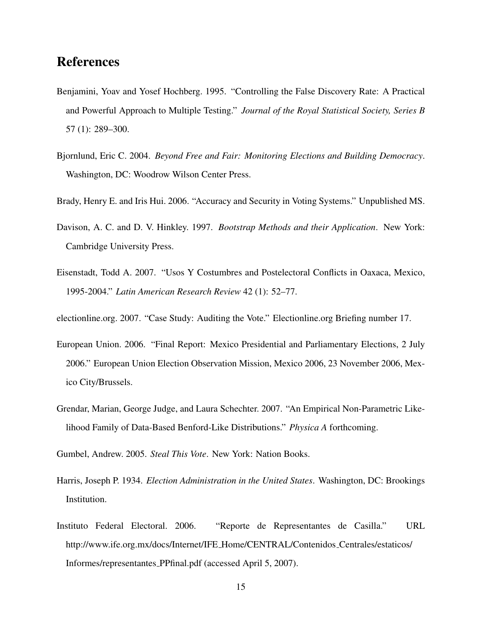## References

- Benjamini, Yoav and Yosef Hochberg. 1995. "Controlling the False Discovery Rate: A Practical and Powerful Approach to Multiple Testing." *Journal of the Royal Statistical Society, Series B* 57 (1): 289–300.
- Bjornlund, Eric C. 2004. *Beyond Free and Fair: Monitoring Elections and Building Democracy*. Washington, DC: Woodrow Wilson Center Press.
- Brady, Henry E. and Iris Hui. 2006. "Accuracy and Security in Voting Systems." Unpublished MS.
- Davison, A. C. and D. V. Hinkley. 1997. *Bootstrap Methods and their Application*. New York: Cambridge University Press.
- Eisenstadt, Todd A. 2007. "Usos Y Costumbres and Postelectoral Conflicts in Oaxaca, Mexico, 1995-2004." *Latin American Research Review* 42 (1): 52–77.

electionline.org. 2007. "Case Study: Auditing the Vote." Electionline.org Briefing number 17.

- European Union. 2006. "Final Report: Mexico Presidential and Parliamentary Elections, 2 July 2006." European Union Election Observation Mission, Mexico 2006, 23 November 2006, Mexico City/Brussels.
- Grendar, Marian, George Judge, and Laura Schechter. 2007. "An Empirical Non-Parametric Likelihood Family of Data-Based Benford-Like Distributions." *Physica A* forthcoming.
- Gumbel, Andrew. 2005. *Steal This Vote*. New York: Nation Books.
- Harris, Joseph P. 1934. *Election Administration in the United States*. Washington, DC: Brookings Institution.
- Instituto Federal Electoral. 2006. "Reporte de Representantes de Casilla." URL http://www.ife.org.mx/docs/Internet/IFE Home/CENTRAL/Contenidos Centrales/estaticos/ Informes/representantes PPfinal.pdf (accessed April 5, 2007).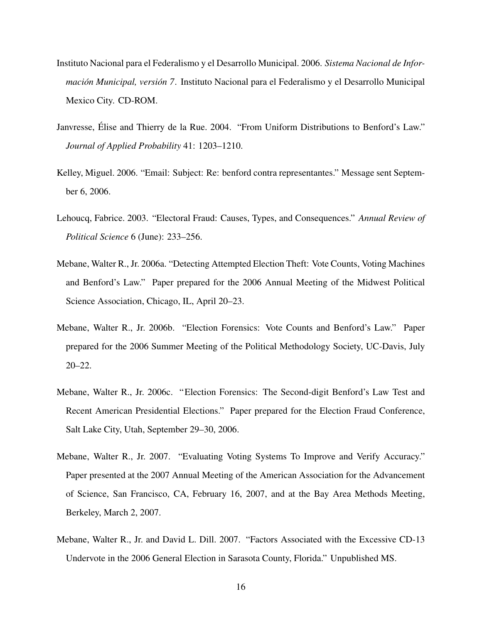- Instituto Nacional para el Federalismo y el Desarrollo Municipal. 2006. *Sistema Nacional de Información Municipal, versión 7.* Instituto Nacional para el Federalismo y el Desarrollo Municipal Mexico City. CD-ROM.
- Janvresse, Elise and Thierry de la Rue. 2004. "From Uniform Distributions to Benford's Law." ´ *Journal of Applied Probability* 41: 1203–1210.
- Kelley, Miguel. 2006. "Email: Subject: Re: benford contra representantes." Message sent September 6, 2006.
- Lehoucq, Fabrice. 2003. "Electoral Fraud: Causes, Types, and Consequences." *Annual Review of Political Science* 6 (June): 233–256.
- Mebane, Walter R., Jr. 2006a. "Detecting Attempted Election Theft: Vote Counts, Voting Machines and Benford's Law." Paper prepared for the 2006 Annual Meeting of the Midwest Political Science Association, Chicago, IL, April 20–23.
- Mebane, Walter R., Jr. 2006b. "Election Forensics: Vote Counts and Benford's Law." Paper prepared for the 2006 Summer Meeting of the Political Methodology Society, UC-Davis, July 20–22.
- Mebane, Walter R., Jr. 2006c. "Election Forensics: The Second-digit Benford's Law Test and Recent American Presidential Elections." Paper prepared for the Election Fraud Conference, Salt Lake City, Utah, September 29–30, 2006.
- Mebane, Walter R., Jr. 2007. "Evaluating Voting Systems To Improve and Verify Accuracy." Paper presented at the 2007 Annual Meeting of the American Association for the Advancement of Science, San Francisco, CA, February 16, 2007, and at the Bay Area Methods Meeting, Berkeley, March 2, 2007.
- Mebane, Walter R., Jr. and David L. Dill. 2007. "Factors Associated with the Excessive CD-13 Undervote in the 2006 General Election in Sarasota County, Florida." Unpublished MS.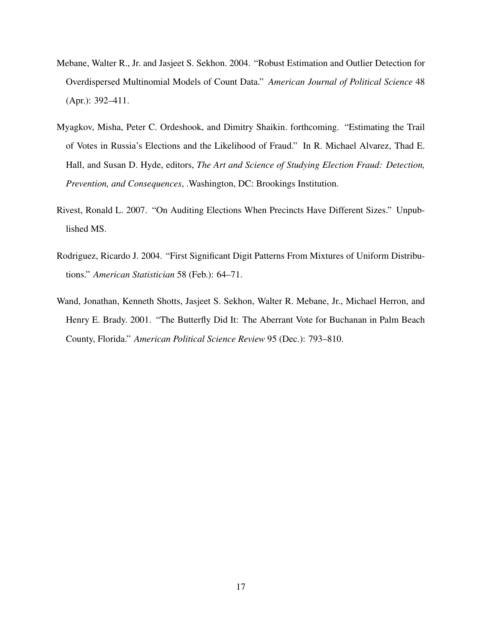- Mebane, Walter R., Jr. and Jasjeet S. Sekhon. 2004. "Robust Estimation and Outlier Detection for Overdispersed Multinomial Models of Count Data." *American Journal of Political Science* 48 (Apr.): 392–411.
- Myagkov, Misha, Peter C. Ordeshook, and Dimitry Shaikin. forthcoming. "Estimating the Trail of Votes in Russia's Elections and the Likelihood of Fraud." In R. Michael Alvarez, Thad E. Hall, and Susan D. Hyde, editors, *The Art and Science of Studying Election Fraud: Detection, Prevention, and Consequences*, .Washington, DC: Brookings Institution.
- Rivest, Ronald L. 2007. "On Auditing Elections When Precincts Have Different Sizes." Unpublished MS.
- Rodriguez, Ricardo J. 2004. "First Significant Digit Patterns From Mixtures of Uniform Distributions." *American Statistician* 58 (Feb.): 64–71.
- Wand, Jonathan, Kenneth Shotts, Jasjeet S. Sekhon, Walter R. Mebane, Jr., Michael Herron, and Henry E. Brady. 2001. "The Butterfly Did It: The Aberrant Vote for Buchanan in Palm Beach County, Florida." *American Political Science Review* 95 (Dec.): 793–810.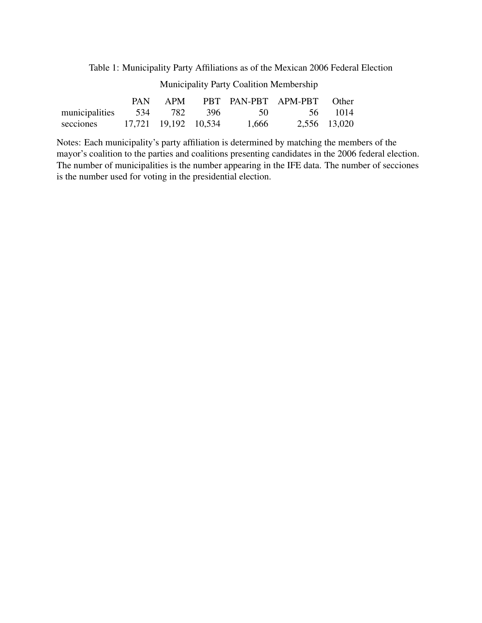Table 1: Municipality Party Affiliations as of the Mexican 2006 Federal Election

Municipality Party Coalition Membership

|                                       |                      |  |       | PAN APM PBT PAN-PBT APM-PBT Other |              |
|---------------------------------------|----------------------|--|-------|-----------------------------------|--------------|
| municipalities 534 782 396 50 56 1014 |                      |  |       |                                   |              |
| secciones                             | 17,721 19,192 10,534 |  | 1,666 |                                   | 2,556 13,020 |

Notes: Each municipality's party affiliation is determined by matching the members of the mayor's coalition to the parties and coalitions presenting candidates in the 2006 federal election. The number of municipalities is the number appearing in the IFE data. The number of secciones is the number used for voting in the presidential election.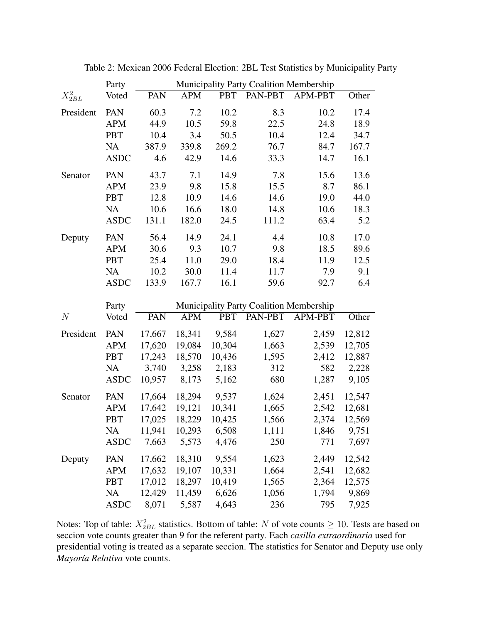|             | Party       | Municipality Party Coalition Membership |            |            |                                         |         |        |  |
|-------------|-------------|-----------------------------------------|------------|------------|-----------------------------------------|---------|--------|--|
| $X_{2BL}^2$ | Voted       | PAN                                     | <b>APM</b> | <b>PBT</b> | PAN-PBT                                 | APM-PBT | Other  |  |
| President   | PAN         | 60.3                                    | 7.2        | 10.2       | 8.3                                     | 10.2    | 17.4   |  |
|             | <b>APM</b>  | 44.9                                    | 10.5       | 59.8       | 22.5                                    | 24.8    | 18.9   |  |
|             | <b>PBT</b>  | 10.4                                    | 3.4        | 50.5       | 10.4                                    | 12.4    | 34.7   |  |
|             | <b>NA</b>   | 387.9                                   | 339.8      | 269.2      | 76.7                                    | 84.7    | 167.7  |  |
|             | <b>ASDC</b> | 4.6                                     | 42.9       | 14.6       | 33.3                                    | 14.7    | 16.1   |  |
| Senator     | PAN         | 43.7                                    | 7.1        | 14.9       | 7.8                                     | 15.6    | 13.6   |  |
|             | <b>APM</b>  | 23.9                                    | 9.8        | 15.8       | 15.5                                    | 8.7     | 86.1   |  |
|             | <b>PBT</b>  | 12.8                                    | 10.9       | 14.6       | 14.6                                    | 19.0    | 44.0   |  |
|             | <b>NA</b>   | 10.6                                    | 16.6       | 18.0       | 14.8                                    | 10.6    | 18.3   |  |
|             | <b>ASDC</b> | 131.1                                   | 182.0      | 24.5       | 111.2                                   | 63.4    | 5.2    |  |
| Deputy      | PAN         | 56.4                                    | 14.9       | 24.1       | 4.4                                     | 10.8    | 17.0   |  |
|             | <b>APM</b>  | 30.6                                    | 9.3        | 10.7       | 9.8                                     | 18.5    | 89.6   |  |
|             | <b>PBT</b>  | 25.4                                    | 11.0       | 29.0       | 18.4                                    | 11.9    | 12.5   |  |
|             | <b>NA</b>   | 10.2                                    | 30.0       | 11.4       | 11.7                                    | 7.9     | 9.1    |  |
|             | <b>ASDC</b> | 133.9                                   | 167.7      | 16.1       | 59.6                                    | 92.7    | 6.4    |  |
|             | Party       |                                         |            |            | Municipality Party Coalition Membership |         |        |  |
| N           | Voted       | PAN                                     | <b>APM</b> | <b>PBT</b> | PAN-PBT                                 | APM-PBT | Other  |  |
|             |             |                                         |            |            |                                         |         |        |  |
| President   | PAN         | 17,667                                  | 18,341     | 9,584      | 1,627                                   | 2,459   | 12,812 |  |
|             | <b>APM</b>  | 17,620                                  | 19,084     | 10,304     | 1,663                                   | 2,539   | 12,705 |  |
|             | <b>PBT</b>  | 17,243                                  | 18,570     | 10,436     | 1,595                                   | 2,412   | 12,887 |  |
|             | NA          | 3,740                                   | 3,258      | 2,183      | 312                                     | 582     | 2,228  |  |
|             | <b>ASDC</b> | 10,957                                  | 8,173      | 5,162      | 680                                     | 1,287   | 9,105  |  |
| Senator     | PAN         | 17,664                                  | 18,294     | 9,537      | 1,624                                   | 2,451   | 12,547 |  |
|             | <b>APM</b>  | 17,642                                  | 19,121     | 10,341     | 1,665                                   | 2,542   | 12,681 |  |
|             | <b>PBT</b>  | 17,025                                  | 18,229     | 10,425     | 1,566                                   | 2,374   | 12,569 |  |
|             | <b>NA</b>   | 11,941                                  | 10,293     | 6,508      | 1,111                                   | 1,846   | 9,751  |  |
|             | <b>ASDC</b> | 7,663                                   | 5,573      | 4,476      | 250                                     | 771     | 7,697  |  |
| Deputy      | PAN         | 17,662                                  | 18,310     | 9,554      | 1,623                                   | 2,449   | 12,542 |  |
|             | <b>APM</b>  | 17,632                                  | 19,107     | 10,331     | 1,664                                   | 2,541   | 12,682 |  |
|             |             |                                         |            |            |                                         |         |        |  |
|             | <b>PBT</b>  | 17,012                                  | 18,297     | 10,419     | 1,565                                   | 2,364   | 12,575 |  |
|             | <b>NA</b>   | 12,429                                  | 11,459     | 6,626      | 1,056                                   | 1,794   | 9,869  |  |

Table 2: Mexican 2006 Federal Election: 2BL Test Statistics by Municipality Party

Notes: Top of table:  $X_{2BL}^2$  statistics. Bottom of table: N of vote counts  $\geq 10$ . Tests are based on seccion vote counts greater than 9 for the referent party. Each *casilla extraordinaria* used for presidential voting is treated as a separate seccion. The statistics for Senator and Deputy use only *Mayor´ıa Relativa* vote counts.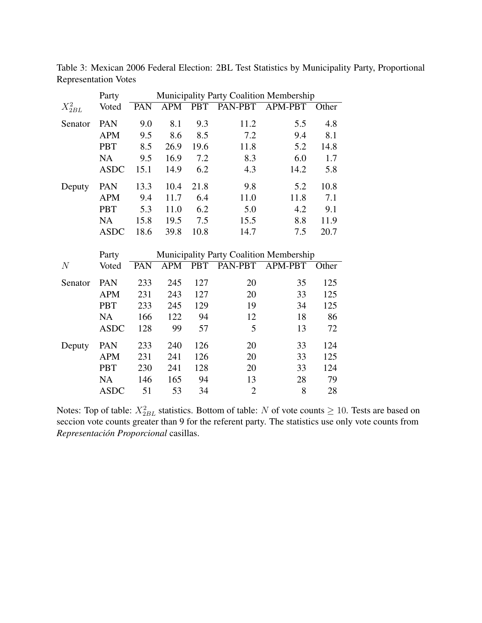|                | Party          | Municipality Party Coalition Membership |                  |            |         |                |       |  |
|----------------|----------------|-----------------------------------------|------------------|------------|---------|----------------|-------|--|
| $X^2_{2BL}$    | Voted          | PAN                                     | $\overline{APM}$ | <b>PBT</b> | PAN-PBT | APM-PBT        | Other |  |
| Senator        | PAN            | 9.0                                     | 8.1              | 9.3        | 11.2    | 5.5            | 4.8   |  |
|                | <b>APM</b>     | 9.5                                     | 8.6              | 8.5        | 7.2     | 9.4            | 8.1   |  |
|                | <b>PBT</b>     | 8.5                                     | 26.9             | 19.6       | 11.8    | 5.2            | 14.8  |  |
|                | <b>NA</b>      | 9.5                                     | 16.9             | 7.2        | 8.3     | 6.0            | 1.7   |  |
|                | <b>ASDC</b>    | 15.1                                    | 14.9             | 6.2        | 4.3     | 14.2           | 5.8   |  |
| Deputy         | PAN            | 13.3                                    | 10.4             | 21.8       | 9.8     | 5.2            | 10.8  |  |
|                | <b>APM</b>     | 9.4                                     | 11.7             | 6.4        | 11.0    | 11.8           | 7.1   |  |
|                | <b>PBT</b>     | 5.3                                     | 11.0             | 6.2        | 5.0     | 4.2            | 9.1   |  |
|                | <b>NA</b>      | 15.8                                    | 19.5             | 7.5        | 15.5    | 8.8            | 11.9  |  |
|                | <b>ASDC</b>    | 18.6                                    | 39.8             | 10.8       | 14.7    | 7.5            | 20.7  |  |
|                |                | Municipality Party Coalition Membership |                  |            |         |                |       |  |
|                |                |                                         |                  |            |         |                |       |  |
| $\overline{N}$ | Party<br>Voted | PAN                                     | <b>APM</b>       | <b>PBT</b> | PAN-PBT | <b>APM-PBT</b> | Other |  |
| Senator        | PAN            | 233                                     | 245              | 127        | 20      | 35             | 125   |  |
|                | <b>APM</b>     | 231                                     | 243              | 127        | 20      | 33             | 125   |  |
|                | <b>PBT</b>     | 233                                     | 245              | 129        | 19      | 34             | 125   |  |
|                | <b>NA</b>      | 166                                     | 122              | 94         | 12      | 18             | 86    |  |
|                | <b>ASDC</b>    | 128                                     | 99               | 57         | 5       | 13             | 72    |  |
| Deputy         | PAN            | 233                                     | 240              | 126        | 20      | 33             | 124   |  |
|                | <b>APM</b>     | 231                                     | 241              | 126        | 20      | 33             | 125   |  |
|                | <b>PBT</b>     | 230                                     | 241              | 128        | 20      | 33             | 124   |  |
|                | <b>NA</b>      | 146                                     | 165              | 94         | 13      | 28             | 79    |  |

Table 3: Mexican 2006 Federal Election: 2BL Test Statistics by Municipality Party, Proportional Representation Votes

Notes: Top of table:  $X_{2BL}^2$  statistics. Bottom of table: N of vote counts  $\geq 10$ . Tests are based on seccion vote counts greater than 9 for the referent party. The statistics use only vote counts from  $$